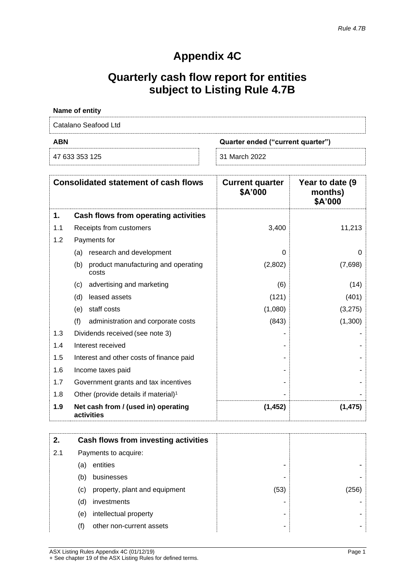# **Appendix 4C**

# **Quarterly cash flow report for entities subject to Listing Rule 4.7B**

| <b>Name of entity</b> |                                   |
|-----------------------|-----------------------------------|
| Catalano Seafood Ltd  |                                   |
| <b>ABN</b>            | Quarter ended ("current quarter") |
| 47 633 353 125        | 31 March 2022                     |

|     | <b>Consolidated statement of cash flows</b>         | <b>Current quarter</b><br>\$A'000 | Year to date (9)<br>months)<br>\$A'000 |
|-----|-----------------------------------------------------|-----------------------------------|----------------------------------------|
| 1.  | Cash flows from operating activities                |                                   |                                        |
| 1.1 | Receipts from customers                             | 3,400                             | 11,213                                 |
| 1.2 | Payments for                                        |                                   |                                        |
|     | (a) research and development                        | $\Omega$                          | O                                      |
|     | product manufacturing and operating<br>(b)<br>costs | (2,802)                           | (7,698)                                |
|     | advertising and marketing<br>(c)                    | (6)                               | (14)                                   |
|     | (d)<br>leased assets                                | (121)                             | (401)                                  |
|     | staff costs<br>(e)                                  | (1,080)                           | (3,275)                                |
|     | (f)<br>administration and corporate costs           | (843)                             | (1,300)                                |
| 1.3 | Dividends received (see note 3)                     |                                   |                                        |
| 1.4 | Interest received                                   |                                   |                                        |
| 1.5 | Interest and other costs of finance paid            |                                   |                                        |
| 1.6 | Income taxes paid                                   |                                   |                                        |
| 1.7 | Government grants and tax incentives                |                                   |                                        |
| 1.8 | Other (provide details if material) <sup>1</sup>    |                                   |                                        |
| 1.9 | Net cash from / (used in) operating<br>activities   | (1, 452)                          | (1, 475)                               |

| 2.  |                            | Cash flows from investing activities |      |       |
|-----|----------------------------|--------------------------------------|------|-------|
| 2.1 |                            | Payments to acquire:                 |      |       |
|     | (a)                        | entities                             |      |       |
|     | (b)                        | businesses                           |      |       |
|     | $\left( \mathrm{c}\right)$ | property, plant and equipment        | (53) | (256) |
|     | (d)                        | investments                          |      |       |
|     | (e)                        | intellectual property                |      |       |
|     | (f)                        | other non-current assets             |      |       |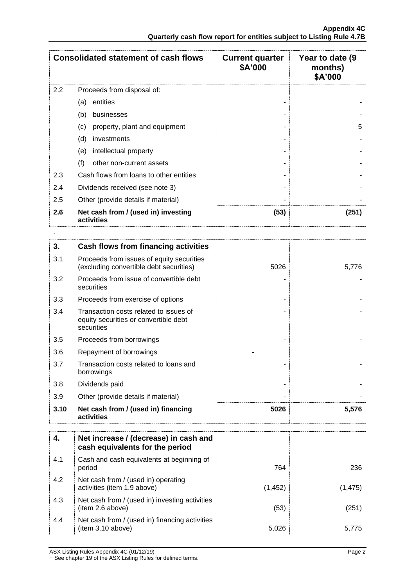|     | <b>Consolidated statement of cash flows</b>       | <b>Current quarter</b><br>\$A'000 | Year to date (9)<br>months)<br>\$A'000 |
|-----|---------------------------------------------------|-----------------------------------|----------------------------------------|
| 2.2 | Proceeds from disposal of:                        |                                   |                                        |
|     | entities<br>(a)                                   |                                   |                                        |
|     | (b)<br>businesses                                 |                                   |                                        |
|     | property, plant and equipment<br>(c)              |                                   | 5                                      |
|     | (d)<br>investments                                |                                   |                                        |
|     | intellectual property<br>(e)                      |                                   |                                        |
|     | (f)<br>other non-current assets                   |                                   |                                        |
| 2.3 | Cash flows from loans to other entities           |                                   |                                        |
| 2.4 | Dividends received (see note 3)                   |                                   |                                        |
| 2.5 | Other (provide details if material)               |                                   |                                        |
| 2.6 | Net cash from / (used in) investing<br>activities | (53)                              | (251)                                  |

| 3.   | Cash flows from financing activities                                                          |      |       |
|------|-----------------------------------------------------------------------------------------------|------|-------|
| 3.1  | Proceeds from issues of equity securities<br>(excluding convertible debt securities)          | 5026 | 5,776 |
| 3.2  | Proceeds from issue of convertible debt<br>securities                                         |      |       |
| 3.3  | Proceeds from exercise of options                                                             |      |       |
| 3.4  | Transaction costs related to issues of<br>equity securities or convertible debt<br>securities |      |       |
| 3.5  | Proceeds from borrowings                                                                      |      |       |
| 3.6  | Repayment of borrowings                                                                       |      |       |
| 3.7  | Transaction costs related to loans and<br>borrowings                                          |      |       |
| 3.8  | Dividends paid                                                                                |      |       |
| 3.9  | Other (provide details if material)                                                           |      |       |
| 3.10 | Net cash from / (used in) financing<br>activities                                             | 5026 | 5,576 |

| 4.  | Net increase / (decrease) in cash and<br>cash equivalents for the period |          |          |
|-----|--------------------------------------------------------------------------|----------|----------|
| 4.1 | Cash and cash equivalents at beginning of<br>period                      | 764      | 236      |
| 4.2 | Net cash from / (used in) operating<br>activities (item 1.9 above)       | (1, 452) | (1, 475) |
| 4.3 | Net cash from / (used in) investing activities<br>(item 2.6 above)       | (53)     | (251)    |
| 4.4 | Net cash from / (used in) financing activities<br>(item 3.10 above)      | 5,026    | 5.775    |

ASX Listing Rules Appendix 4C (01/12/19) Page 2 + See chapter 19 of the ASX Listing Rules for defined terms.

.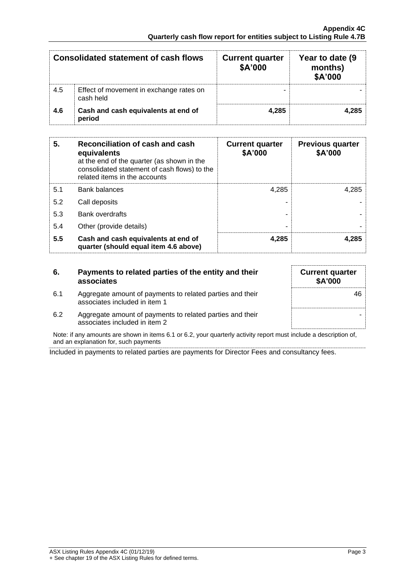|     | <b>Consolidated statement of cash flows</b>          | <b>Current quarter</b><br>\$A'000 | Year to date (9)<br>months)<br>\$A'000 |
|-----|------------------------------------------------------|-----------------------------------|----------------------------------------|
| 4.5 | Effect of movement in exchange rates on<br>cash held |                                   |                                        |
| 4.6 | Cash and cash equivalents at end of<br>period        | 4.285                             |                                        |

| 5.  | Reconciliation of cash and cash<br>equivalents<br>at the end of the quarter (as shown in the<br>consolidated statement of cash flows) to the<br>related items in the accounts | <b>Current quarter</b><br>\$A'000 | <b>Previous quarter</b><br>\$A'000 |
|-----|-------------------------------------------------------------------------------------------------------------------------------------------------------------------------------|-----------------------------------|------------------------------------|
| 5.1 | <b>Bank balances</b>                                                                                                                                                          | 4.285                             | 4.285                              |
| 5.2 | Call deposits                                                                                                                                                                 |                                   |                                    |
| 5.3 | Bank overdrafts                                                                                                                                                               |                                   |                                    |
| 5.4 | Other (provide details)                                                                                                                                                       | -                                 |                                    |
| 5.5 | Cash and cash equivalents at end of<br>quarter (should equal item 4.6 above)                                                                                                  | 4.285                             | 4.285                              |

## **6. Payments to related parties of the entity and their associates**

6.1 Aggregate amount of payments to related parties and their associates included in item 1

| <b>Current quarter</b><br><b>\$A'000</b> |
|------------------------------------------|
| 46                                       |
|                                          |

6.2 Aggregate amount of payments to related parties and their associates included in item 2

Note: if any amounts are shown in items 6.1 or 6.2, your quarterly activity report must include a description of, and an explanation for, such payments

Included in payments to related parties are payments for Director Fees and consultancy fees.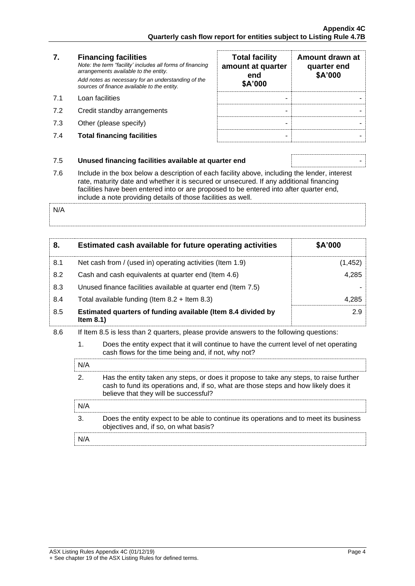### **7. Financing facilities** *Note: the term "facility' includes all forms of financing arrangements available to the entity. Add notes as necessary for an understanding of the sources of finance available to the entity.* 7.1 Loan facilities

- 7.2 Credit standby arrangements
- 7.3 Other (please specify)
- **7.4 Total financing facilities**

| <b>Total facility</b><br>amount at quarter<br>end<br>\$A'000 | Amount drawn at<br>quarter end<br>\$A'000 |
|--------------------------------------------------------------|-------------------------------------------|
|                                                              |                                           |
|                                                              |                                           |

### 7.5 **Unused financing facilities available at quarter end** -

7.6 Include in the box below a description of each facility above, including the lender, interest rate, maturity date and whether it is secured or unsecured. If any additional financing facilities have been entered into or are proposed to be entered into after quarter end, include a note providing details of those facilities as well.

N/A

| 8.  | Estimated cash available for future operating activities                     | \$A'000 |
|-----|------------------------------------------------------------------------------|---------|
| 8.1 | Net cash from / (used in) operating activities (Item 1.9)                    | (1,452) |
| 8.2 | Cash and cash equivalents at quarter end (Item 4.6)                          | 4,285   |
| 8.3 | Unused finance facilities available at quarter end (Item 7.5)                |         |
| 8.4 | Total available funding (Item $8.2 +$ Item $8.3$ )                           | 4.285   |
| 8.5 | Estimated quarters of funding available (Item 8.4 divided by<br>Item $8.1$ ) | 2.9     |

- 8.6 If Item 8.5 is less than 2 quarters, please provide answers to the following questions:
	- 1. Does the entity expect that it will continue to have the current level of net operating cash flows for the time being and, if not, why not?

| N/A |                                                                                                                                                                                                                        |
|-----|------------------------------------------------------------------------------------------------------------------------------------------------------------------------------------------------------------------------|
|     | Has the entity taken any steps, or does it propose to take any steps, to raise further<br>cash to fund its operations and, if so, what are those steps and how likely does it<br>believe that they will be successful? |
| N/A |                                                                                                                                                                                                                        |
|     | Does the entity expect to be able to continue its operations and to meet its business<br>objectives and, if so, on what basis?                                                                                         |
|     |                                                                                                                                                                                                                        |